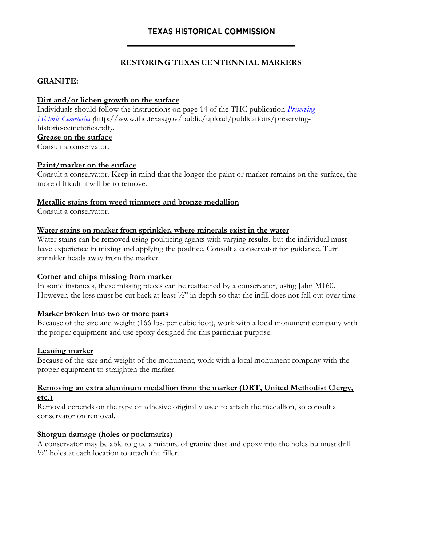## **RESTORING TEXAS CENTENNIAL MARKERS**

## **GRANITE:**

## **Dirt and/or lichen growth on the surface**

Individuals should follow the instructions on page 14 of the THC publication *[Preserving](http://www.thc.state.tx.us/publications/guidelines/Preservecem.pdf) [Historic Ce](http://www.thc.state.tx.us/publications/guidelines/Preservecem.pdf)meteries (*http://www.thc.texas.gov/public/upload/publications/preservinghistoric-cemeteries.pdf*)*. **Grease on the surface**  Consult a conservator.

## **Paint/marker on the surface**

Consult a conservator. Keep in mind that the longer the paint or marker remains on the surface, the more difficult it will be to remove.

## **Metallic stains from weed trimmers and bronze medallion**

Consult a conservator.

## **Water stains on marker from sprinkler, where minerals exist in the water**

Water stains can be removed using poulticing agents with varying results, but the individual must have experience in mixing and applying the poultice. Consult a conservator for guidance. Turn sprinkler heads away from the marker.

### **Corner and chips missing from marker**

In some instances, these missing pieces can be reattached by a conservator, using Jahn M160. However, the loss must be cut back at least ½" in depth so that the infill does not fall out over time.

#### **Marker broken into two or more parts**

Because of the size and weight (166 lbs. per cubic foot), work with a local monument company with the proper equipment and use epoxy designed for this particular purpose.

#### **Leaning marker**

Because of the size and weight of the monument, work with a local monument company with the proper equipment to straighten the marker.

## **Removing an extra aluminum medallion from the marker (DRT, United Methodist Clergy, etc.)**

Removal depends on the type of adhesive originally used to attach the medallion, so consult a conservator on removal.

#### **Shotgun damage (holes or pockmarks)**

A conservator may be able to glue a mixture of granite dust and epoxy into the holes bu must drill  $\frac{1}{2}$ " holes at each location to attach the filler.